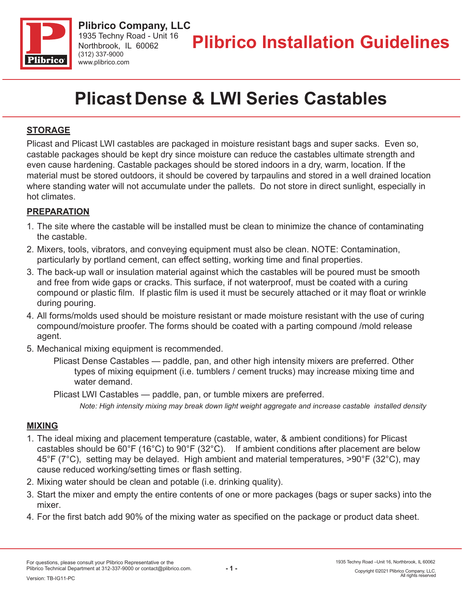

# **Plicast Dense & LWI Series Castables**

## **STORAGE**

Plicast and Plicast LWI castables are packaged in moisture resistant bags and super sacks. Even so, castable packages should be kept dry since moisture can reduce the castables ultimate strength and even cause hardening. Castable packages should be stored indoors in a dry, warm, location. If the material must be stored outdoors, it should be covered by tarpaulins and stored in a well drained location where standing water will not accumulate under the pallets. Do not store in direct sunlight, especially in hot climates.

### **PREPARATION**

- 1. The site where the castable will be installed must be clean to minimize the chance of contaminating the castable.
- 2. Mixers, tools, vibrators, and conveying equipment must also be clean. NOTE: Contamination, particularly by portland cement, can effect setting, working time and final properties.
- 3. The back-up wall or insulation material against which the castables will be poured must be smooth and free from wide gaps or cracks. This surface, if not waterproof, must be coated with a curing compound or plastic film. If plastic film is used it must be securely attached or it may float or wrinkle during pouring.
- 4. All forms/molds used should be moisture resistant or made moisture resistant with the use of curing compound/moisture proofer. The forms should be coated with a parting compound /mold release agent.
- 5. Mechanical mixing equipment is recommended.
	- Plicast Dense Castables paddle, pan, and other high intensity mixers are preferred. Other types of mixing equipment (i.e. tumblers / cement trucks) may increase mixing time and water demand.
	- Plicast LWI Castables paddle, pan, or tumble mixers are preferred.
		- *Note: High intensity mixing may break down light weight aggregate and increase castable installed density*

### **MIXING**

- 1. The ideal mixing and placement temperature (castable, water, & ambient conditions) for Plicast castables should be 60°F (16°C) to 90°F (32°C). If ambient conditions after placement are below 45°F (7°C), setting may be delayed. High ambient and material temperatures, >90°F (32°C), may cause reduced working/setting times or flash setting.
- 2. Mixing water should be clean and potable (i.e. drinking quality).
- 3. Start the mixer and empty the entire contents of one or more packages (bags or super sacks) into the mixer.
- 4. For the first batch add 90% of the mixing water as specified on the package or product data sheet.